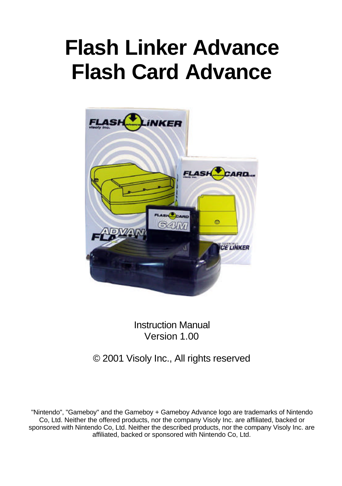# **Flash Linker Advance Flash Card Advance**



Instruction Manual Version 1.00

# © 2001 Visoly Inc., All rights reserved

"Nintendo", "Gameboy" and the Gameboy + Gameboy Advance logo are trademarks of Nintendo Co, Ltd. Neither the offered products, nor the company Visoly Inc. are affiliated, backed or sponsored with Nintendo Co, Ltd. Neither the described products, nor the company Visoly Inc. are affiliated, backed or sponsored with Nintendo Co, Ltd.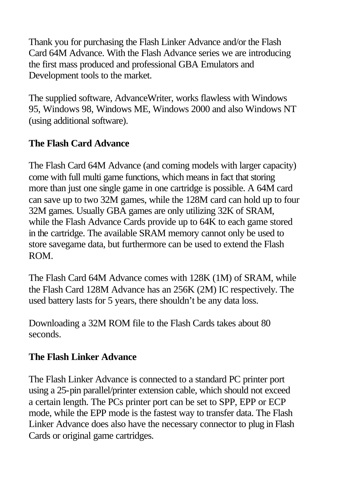Thank you for purchasing the Flash Linker Advance and/or the Flash Card 64M Advance. With the Flash Advance series we are introducing the first mass produced and professional GBA Emulators and Development tools to the market.

The supplied software, AdvanceWriter, works flawless with Windows 95, Windows 98, Windows ME, Windows 2000 and also Windows NT (using additional software).

# **The Flash Card Advance**

The Flash Card 64M Advance (and coming models with larger capacity) come with full multi game functions, which means in fact that storing more than just one single game in one cartridge is possible. A 64M card can save up to two 32M games, while the 128M card can hold up to four 32M games. Usually GBA games are only utilizing 32K of SRAM, while the Flash Advance Cards provide up to 64K to each game stored in the cartridge. The available SRAM memory cannot only be used to store savegame data, but furthermore can be used to extend the Flash ROM.

The Flash Card 64M Advance comes with 128K (1M) of SRAM, while the Flash Card 128M Advance has an 256K (2M) IC respectively. The used battery lasts for 5 years, there shouldn't be any data loss.

Downloading a 32M ROM file to the Flash Cards takes about 80 seconds.

# **The Flash Linker Advance**

The Flash Linker Advance is connected to a standard PC printer port using a 25-pin parallel/printer extension cable, which should not exceed a certain length. The PCs printer port can be set to SPP, EPP or ECP mode, while the EPP mode is the fastest way to transfer data. The Flash Linker Advance does also have the necessary connector to plug in Flash Cards or original game cartridges.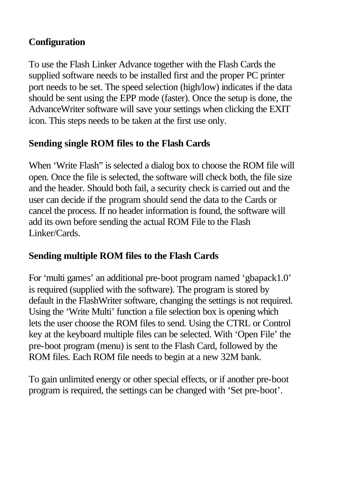## **Configuration**

To use the Flash Linker Advance together with the Flash Cards the supplied software needs to be installed first and the proper PC printer port needs to be set. The speed selection (high/low) indicates if the data should be sent using the EPP mode (faster). Once the setup is done, the AdvanceWriter software will save your settings when clicking the EXIT icon. This steps needs to be taken at the first use only.

#### **Sending single ROM files to the Flash Cards**

When 'Write Flash" is selected a dialog box to choose the ROM file will open. Once the file is selected, the software will check both, the file size and the header. Should both fail, a security check is carried out and the user can decide if the program should send the data to the Cards or cancel the process. If no header information is found, the software will add its own before sending the actual ROM File to the Flash Linker/Cards.

# **Sending multiple ROM files to the Flash Cards**

For 'multi games' an additional pre-boot program named 'gbapack1.0' is required (supplied with the software). The program is stored by default in the FlashWriter software, changing the settings is not required. Using the 'Write Multi' function a file selection box is opening which lets the user choose the ROM files to send. Using the CTRL or Control key at the keyboard multiple files can be selected. With 'Open File' the pre-boot program (menu) is sent to the Flash Card, followed by the ROM files. Each ROM file needs to begin at a new 32M bank.

To gain unlimited energy or other special effects, or if another pre-boot program is required, the settings can be changed with 'Set pre-boot'.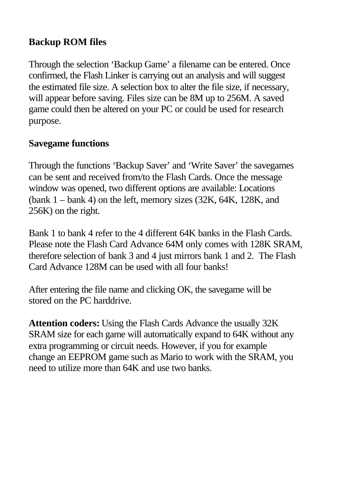## **Backup ROM files**

Through the selection 'Backup Game' a filename can be entered. Once confirmed, the Flash Linker is carrying out an analysis and will suggest the estimated file size. A selection box to alter the file size, if necessary, will appear before saving. Files size can be 8M up to 256M. A saved game could then be altered on your PC or could be used for research purpose.

#### **Savegame functions**

Through the functions 'Backup Saver' and 'Write Saver' the savegames can be sent and received from/to the Flash Cards. Once the message window was opened, two different options are available: Locations (bank  $1 -$ bank 4) on the left, memory sizes  $(32K, 64K, 128K, and$ 256K) on the right.

Bank 1 to bank 4 refer to the 4 different 64K banks in the Flash Cards. Please note the Flash Card Advance 64M only comes with 128K SRAM, therefore selection of bank 3 and 4 just mirrors bank 1 and 2. The Flash Card Advance 128M can be used with all four banks!

After entering the file name and clicking OK, the savegame will be stored on the PC harddrive.

**Attention coders:** Using the Flash Cards Advance the usually 32K SRAM size for each game will automatically expand to 64K without any extra programming or circuit needs. However, if you for example change an EEPROM game such as Mario to work with the SRAM, you need to utilize more than 64K and use two banks.